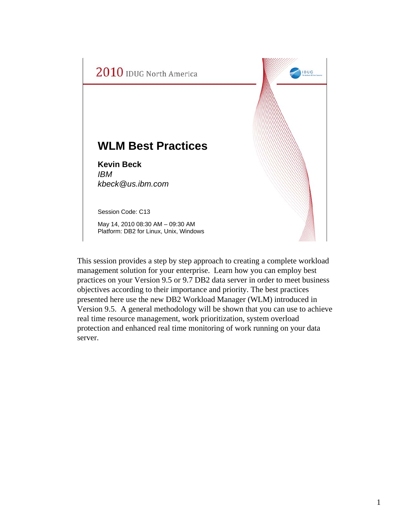

This session provides a step by step approach to creating a complete workload management solution for your enterprise. Learn how you can employ best practices on your Version 9.5 or 9.7 DB2 data server in order to meet business objectives according to their importance and priority. The best practices presented here use the new DB2 Workload Manager (WLM) introduced in Version 9.5. A general methodology will be shown that you can use to achieve real time resource management, work prioritization, system overload protection and enhanced real time monitoring of work running on your data server.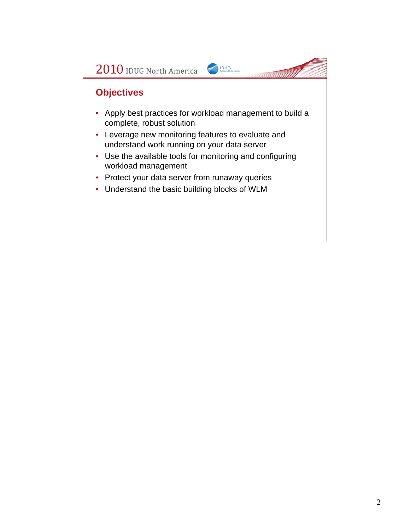

#### **Objectives**

- Apply best practices for workload management to build a complete, robust solution
- Leverage new monitoring features to evaluate and understand work running on your data server
- Use the available tools for monitoring and configuring workload management
- Protect your data server from runaway queries
- Understand the basic building blocks of WLM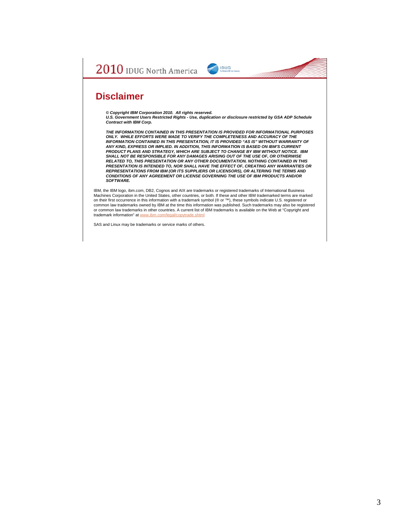

#### **Disclaimer**

*© Copyright IBM Corporation 2010. All rights reserved. U.S. Government Users Restricted Rights - Use, duplication or disclosure restricted by GSA ADP Schedule Contract with IBM Corp.*

*THE INFORMATION CONTAINED IN THIS PRESENTATION IS PROVIDED FOR INFORMATIONAL PURPOSES ONLY. WHILE EFFORTS WERE MADE TO VERIFY THE COMPLETENESS AND ACCURACY OF THE INFORMATION CONTAINED IN THIS PRESENTATION, IT IS PROVIDED "AS IS" WITHOUT WARRANTY OF*  ANY KIND, EXPRESS OR IMPLIED. IN ADDITION, THIS INFORMATION IS BASED ON IBM'S CURRENT<br>PRODUCT PLANS AND STRATEGY, WHICH ARE SUBJECT TO CHANGE BY IBM WITHOUT NOTICE. IBM<br>SHALL NOT BE RESPONSIBLE FOR ANY DAMAGES ARISING OUT *RELATED TO, THIS PRESENTATION OR ANY OTHER DOCUMENTATION. NOTHING CONTAINED IN THIS PRESENTATION IS INTENDED TO, NOR SHALL HAVE THE EFFECT OF, CREATING ANY WARRANTIES OR REPRESENTATIONS FROM IBM (OR ITS SUPPLIERS OR LICENSORS), OR ALTERING THE TERMS AND CONDITIONS OF ANY AGREEMENT OR LICENSE GOVERNING THE USE OF IBM PRODUCTS AND/OR SOFTWARE.*

IBM, the IBM logo, ibm.com, DB2, Cognos and AIX are trademarks or registered trademarks of International Business<br>Machines Corporation in the United States, other countries, or both. If these and other IBM trademarked term on their first occurrence in this information with a trademark symbol (® or ™), these symbols indicate U.S. registered or common law trademarks owned by IBM at the time this information was published. Such trademarks may also be registered<br>or common law trademarks in other countries. A current list of IBM trademarks is available on the Web at trademark information" at www.ibm.com/legal/copytrade.shtml

SAS and Linux may be trademarks or service marks of others.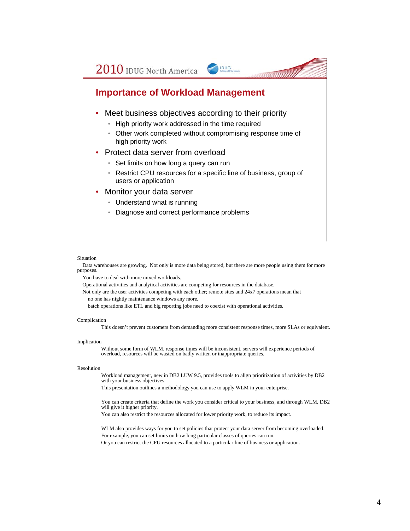#### **Importance of Workload Management**

- Meet business objectives according to their priority
	- High priority work addressed in the time required
	- Other work completed without compromising response time of high priority work

IDUG

- Protect data server from overload
	- Set limits on how long a query can run
	- Restrict CPU resources for a specific line of business, group of users or application
- Monitor your data server
	- Understand what is running
	- Diagnose and correct performance problems

#### Situation

Data warehouses are growing. Not only is more data being stored, but there are more people using them for more purposes.

You have to deal with more mixed workloads.

Operational activities and analytical activities are competing for resources in the database.

Not only are the user activities competing with each other; remote sites and 24x7 operations mean that no one has nightly maintenance windows any more.

batch operations like ETL and big reporting jobs need to coexist with operational activities.

#### Complication

This doesn't prevent customers from demanding more consistent response times, more SLAs or equivalent.

#### Implication

Without some form of WLM, response times will be inconsistent, servers will experience periods of overload, resources will be wasted on badly written or inappropriate queries.

#### Resolution

Workload management, new in DB2 LUW 9.5, provides tools to align prioritization of activities by DB2 with your business objectives.

This presentation outlines a methodology you can use to apply WLM in your enterprise.

You can create criteria that define the work you consider critical to your business, and through WLM, DB2 will give it higher priority.

You can also restrict the resources allocated for lower priority work, to reduce its impact.

WLM also provides ways for you to set policies that protect your data server from becoming overloaded. For example, you can set limits on how long particular classes of queries can run. Or you can restrict the CPU resources allocated to a particular line of business or application.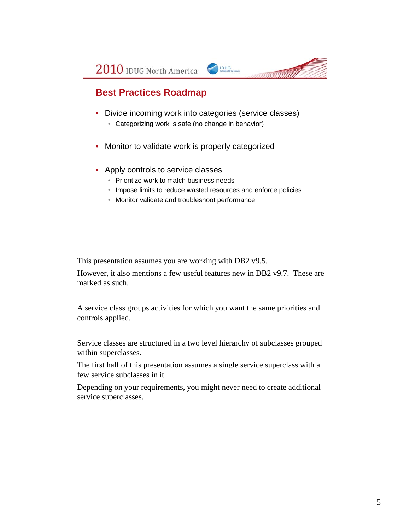#### **Best Practices Roadmap**

• Divide incoming work into categories (service classes)

IDUG

- Categorizing work is safe (no change in behavior)
- Monitor to validate work is properly categorized
- Apply controls to service classes
	- Prioritize work to match business needs
	- Impose limits to reduce wasted resources and enforce policies
	- Monitor validate and troubleshoot performance

This presentation assumes you are working with DB2 v9.5.

However, it also mentions a few useful features new in DB2 v9.7. These are marked as such.

A service class groups activities for which you want the same priorities and controls applied.

Service classes are structured in a two level hierarchy of subclasses grouped within superclasses.

The first half of this presentation assumes a single service superclass with a few service subclasses in it.

Depending on your requirements, you might never need to create additional service superclasses.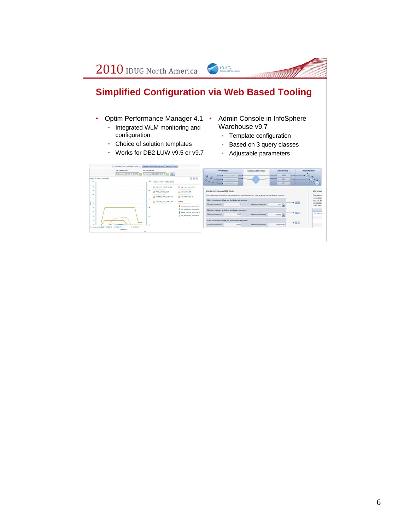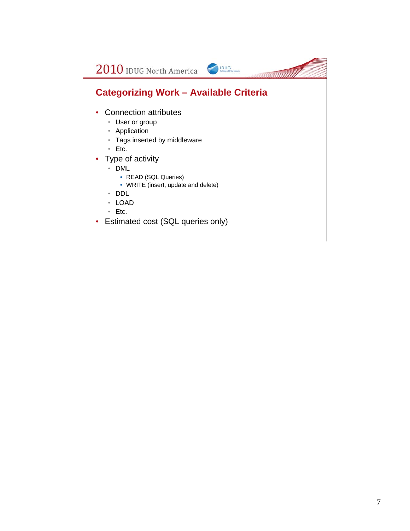## **Categorizing Work – Available Criteria**

IDUG

- Connection attributes
	- User or group
	- Application
	- Tags inserted by middleware
	- Etc.
- Type of activity
	- DML
		- READ (SQL Queries)
		- WRITE (insert, update and delete)
	- DDL
	- LOAD
	- Etc.
- Estimated cost (SQL queries only)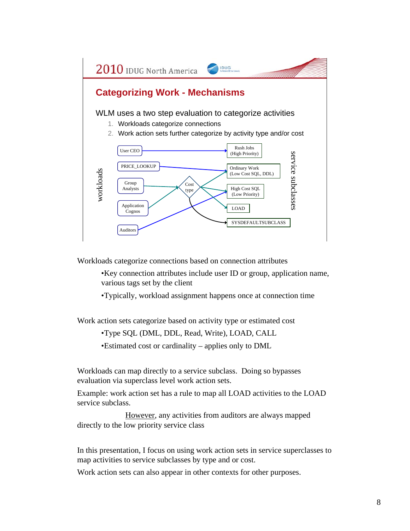

Workloads categorize connections based on connection attributes

•Key connection attributes include user ID or group, application name, various tags set by the client

•Typically, workload assignment happens once at connection time

Work action sets categorize based on activity type or estimated cost

•Type SQL (DML, DDL, Read, Write), LOAD, CALL

•Estimated cost or cardinality – applies only to DML

Workloads can map directly to a service subclass. Doing so bypasses evaluation via superclass level work action sets.

Example: work action set has a rule to map all LOAD activities to the LOAD service subclass.

However, any activities from auditors are always mapped directly to the low priority service class

In this presentation, I focus on using work action sets in service superclasses to map activities to service subclasses by type and or cost.

Work action sets can also appear in other contexts for other purposes.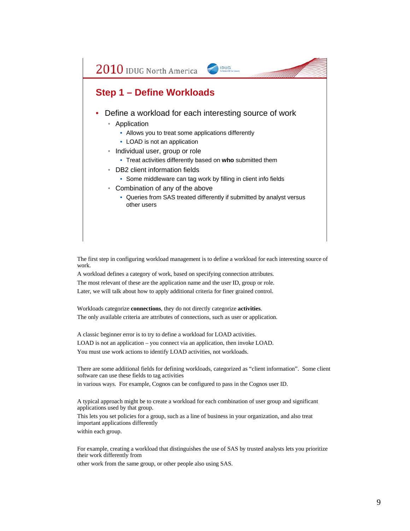#### **Step 1 – Define Workloads**

• Define a workload for each interesting source of work

IDUG

- Application
	- Allows you to treat some applications differently
	- LOAD is not an application
- Individual user, group or role
	- Treat activities differently based on **who** submitted them
- DB2 client information fields
	- Some middleware can tag work by filling in client info fields
- Combination of any of the above
	- Queries from SAS treated differently if submitted by analyst versus other users

The first step in configuring workload management is to define a workload for each interesting source of work.

A workload defines a category of work, based on specifying connection attributes. The most relevant of these are the application name and the user ID, group or role. Later, we will talk about how to apply additional criteria for finer grained control.

Workloads categorize **connections**, they do not directly categorize **activities**. The only available criteria are attributes of connections, such as user or application.

A classic beginner error is to try to define a workload for LOAD activities. LOAD is not an application – you connect via an application, then invoke LOAD. You must use work actions to identify LOAD activities, not workloads.

There are some additional fields for defining workloads, categorized as "client information". Some client software can use these fields to tag activities in various ways. For example, Cognos can be configured to pass in the Cognos user ID.

A typical approach might be to create a workload for each combination of user group and significant applications used by that group.

This lets you set policies for a group, such as a line of business in your organization, and also treat important applications differently

within each group.

For example, creating a workload that distinguishes the use of SAS by trusted analysts lets you prioritize their work differently from

other work from the same group, or other people also using SAS.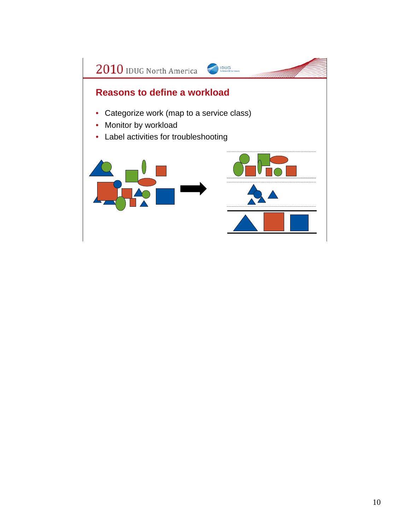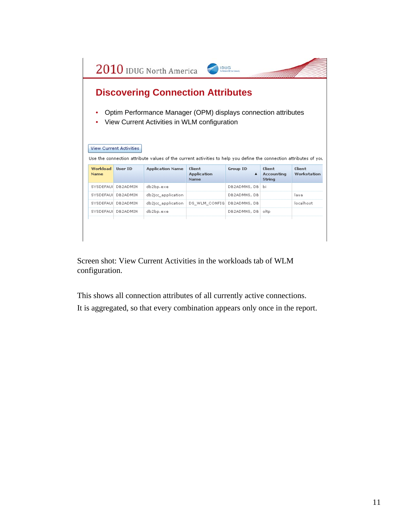|                         |                                | $2010$ IDUG North America                                                                                         | <b>IDUG</b>                  |                      |                             |                       |
|-------------------------|--------------------------------|-------------------------------------------------------------------------------------------------------------------|------------------------------|----------------------|-----------------------------|-----------------------|
|                         |                                | <b>Discovering Connection Attributes</b>                                                                          |                              |                      |                             |                       |
|                         |                                | Optim Performance Manager (OPM) displays connection attributes<br>View Current Activities in WLM configuration    |                              |                      |                             |                       |
|                         |                                |                                                                                                                   |                              |                      |                             |                       |
|                         | <b>View Current Activities</b> | Use the connection attribute values of the current activities to help you define the connection attributes of you |                              |                      |                             |                       |
| Workload<br><b>Name</b> | User ID                        | <b>Application Name</b>                                                                                           | Client<br><b>Application</b> | <b>Group ID</b><br>▲ | Client<br><b>Accounting</b> | Client<br>Workstation |
|                         |                                |                                                                                                                   | Name                         |                      | String                      |                       |
|                         | SYSDEFAUI DB2ADMIN             | db2bp.exe                                                                                                         |                              | DB2ADMNS, DB         | Ъi                          |                       |
|                         | SYSDEFAUI DB2ADMIN             | db2jcc_application                                                                                                |                              | DB2ADMNS, DB         |                             | lava                  |
|                         | SYSDEFAUI DB2ADMIN             | db2jcc application                                                                                                | DS WLM CONFIG                | DB2ADMNS, DB         |                             | localhost             |
|                         | SYSDEFAUI DB2ADMIN             | db2bp.exe                                                                                                         |                              | DB2ADMNS, DB         | oltp                        |                       |
|                         |                                |                                                                                                                   |                              |                      |                             |                       |

Screen shot: View Current Activities in the workloads tab of WLM configuration.

This shows all connection attributes of all currently active connections.

It is aggregated, so that every combination appears only once in the report.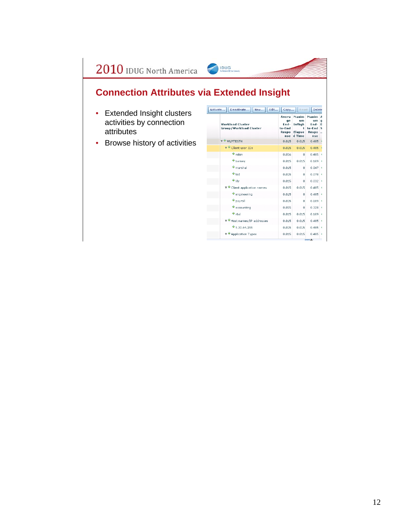## **Connection Attributes via Extended Insight**

IDUG

- Extended Insight clusters activities by connection attributes
- Browse history of activities

| Avera<br>qe<br>Fnd-<br>to-End<br>Respo<br>nse | Maxim<br>um<br>Infiigh<br>ŧ<br><b>Elapse</b><br>d Time | Maxim<br>um<br>Fnd-<br>to-End<br>Respo<br>nse | Α<br>q<br>D<br>s<br>., |
|-----------------------------------------------|--------------------------------------------------------|-----------------------------------------------|------------------------|
| 0.015                                         | 0.015                                                  | 0.485                                         |                        |
| 0.015                                         | 0.015                                                  | 0.485                                         |                        |
| 0.016                                         | $\Omega$                                               | 0.485                                         |                        |
| 0.015                                         | 0.015                                                  | 0.109                                         | 4                      |
| 0.015                                         | 0                                                      | 0.047                                         | ۹                      |
| 0.015                                         | n                                                      | 0.078                                         | ۷                      |
| 0.015                                         | $\Omega$                                               | 0.032                                         | к                      |
| 0.015                                         | 0.015                                                  | 0.485                                         | ٠                      |
| 0.015                                         | n                                                      | 0.485                                         | ۷                      |
| 0.015                                         | n                                                      | 0.109                                         | 4                      |
| 0.015                                         | 0                                                      | 0.328                                         | ś                      |
| 0.015                                         | 0.015                                                  | 0.109                                         | 4                      |
| 0.015                                         | 0.015                                                  | 0.485                                         | 4                      |
| 0.015                                         | 0.015                                                  | 0.485                                         | ś                      |
| 0.015                                         | 0.015                                                  | 0.485                                         | ۷                      |
|                                               |                                                        |                                               |                        |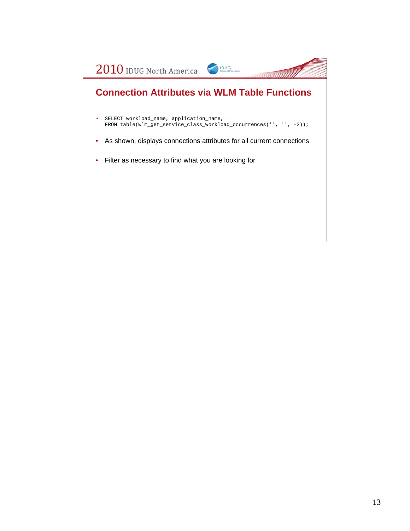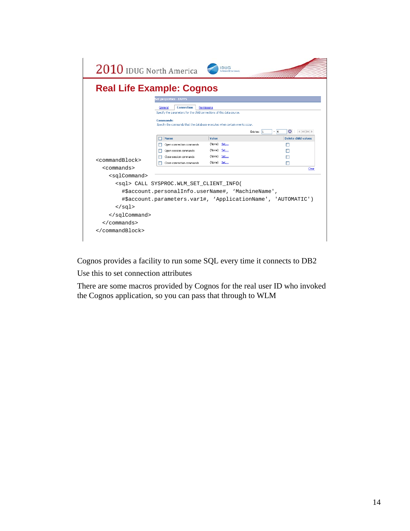| Set properties - EAPPS<br><b>Connection</b><br>Permissions<br>General<br>Specify the parameters for the child connections of this data source.<br><b>Commands:</b><br>Specify the commands that the database executes when certain events occur.<br>$\bigcirc$ $\vdash$ $\mathbb{R}$ $\uparrow$ $\uparrow$ $\uparrow$<br>$-14$<br>Entries: 1<br><b>Delete child values</b><br>Name<br>Value<br>(None) Set<br>Open connection commands<br>(None) Set<br>Open session commands<br>(None) Set<br>Close session commands<br><commandblock><br/>(None) Set<br/>Close connection commands<br/>П<br/><math>&lt;</math>commands&gt;<br/><sqlcommand><br/><sql> CALL SYSPROC.WLM_SET_CLIENT_INFO(<br/>#\$account.personalInfo.userName#, 'MachineName',<br/>#\$account.parameters.var1#, 'ApplicationName', 'AUTOMATIC')<br/><math>\langle</math> sql&gt;<br/></sql></sqlcommand></commandblock> |                      | <b>Real Life Example: Cognos</b> |       |
|-----------------------------------------------------------------------------------------------------------------------------------------------------------------------------------------------------------------------------------------------------------------------------------------------------------------------------------------------------------------------------------------------------------------------------------------------------------------------------------------------------------------------------------------------------------------------------------------------------------------------------------------------------------------------------------------------------------------------------------------------------------------------------------------------------------------------------------------------------------------------------------------|----------------------|----------------------------------|-------|
|                                                                                                                                                                                                                                                                                                                                                                                                                                                                                                                                                                                                                                                                                                                                                                                                                                                                                         |                      |                                  |       |
|                                                                                                                                                                                                                                                                                                                                                                                                                                                                                                                                                                                                                                                                                                                                                                                                                                                                                         |                      |                                  |       |
|                                                                                                                                                                                                                                                                                                                                                                                                                                                                                                                                                                                                                                                                                                                                                                                                                                                                                         |                      |                                  |       |
|                                                                                                                                                                                                                                                                                                                                                                                                                                                                                                                                                                                                                                                                                                                                                                                                                                                                                         |                      |                                  |       |
|                                                                                                                                                                                                                                                                                                                                                                                                                                                                                                                                                                                                                                                                                                                                                                                                                                                                                         |                      |                                  |       |
|                                                                                                                                                                                                                                                                                                                                                                                                                                                                                                                                                                                                                                                                                                                                                                                                                                                                                         |                      |                                  |       |
|                                                                                                                                                                                                                                                                                                                                                                                                                                                                                                                                                                                                                                                                                                                                                                                                                                                                                         |                      |                                  |       |
|                                                                                                                                                                                                                                                                                                                                                                                                                                                                                                                                                                                                                                                                                                                                                                                                                                                                                         |                      |                                  |       |
|                                                                                                                                                                                                                                                                                                                                                                                                                                                                                                                                                                                                                                                                                                                                                                                                                                                                                         |                      |                                  |       |
|                                                                                                                                                                                                                                                                                                                                                                                                                                                                                                                                                                                                                                                                                                                                                                                                                                                                                         |                      |                                  | Clear |
|                                                                                                                                                                                                                                                                                                                                                                                                                                                                                                                                                                                                                                                                                                                                                                                                                                                                                         |                      |                                  |       |
|                                                                                                                                                                                                                                                                                                                                                                                                                                                                                                                                                                                                                                                                                                                                                                                                                                                                                         |                      |                                  |       |
|                                                                                                                                                                                                                                                                                                                                                                                                                                                                                                                                                                                                                                                                                                                                                                                                                                                                                         |                      |                                  |       |
|                                                                                                                                                                                                                                                                                                                                                                                                                                                                                                                                                                                                                                                                                                                                                                                                                                                                                         |                      |                                  |       |
|                                                                                                                                                                                                                                                                                                                                                                                                                                                                                                                                                                                                                                                                                                                                                                                                                                                                                         |                      |                                  |       |
|                                                                                                                                                                                                                                                                                                                                                                                                                                                                                                                                                                                                                                                                                                                                                                                                                                                                                         |                      |                                  |       |
|                                                                                                                                                                                                                                                                                                                                                                                                                                                                                                                                                                                                                                                                                                                                                                                                                                                                                         |                      |                                  |       |
|                                                                                                                                                                                                                                                                                                                                                                                                                                                                                                                                                                                                                                                                                                                                                                                                                                                                                         | $\langle$ /commands> |                                  |       |

Cognos provides a facility to run some SQL every time it connects to DB2

Use this to set connection attributes

There are some macros provided by Cognos for the real user ID who invoked the Cognos application, so you can pass that through to WLM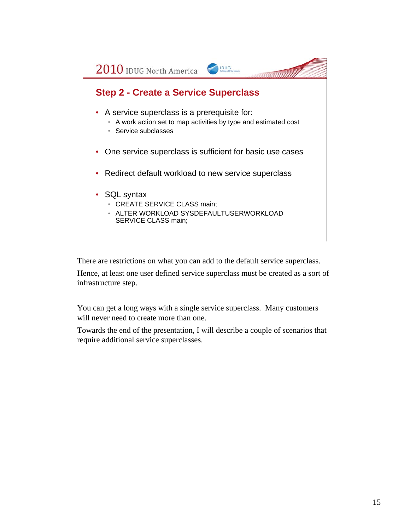

There are restrictions on what you can add to the default service superclass.

Hence, at least one user defined service superclass must be created as a sort of infrastructure step.

You can get a long ways with a single service superclass. Many customers will never need to create more than one.

Towards the end of the presentation, I will describe a couple of scenarios that require additional service superclasses.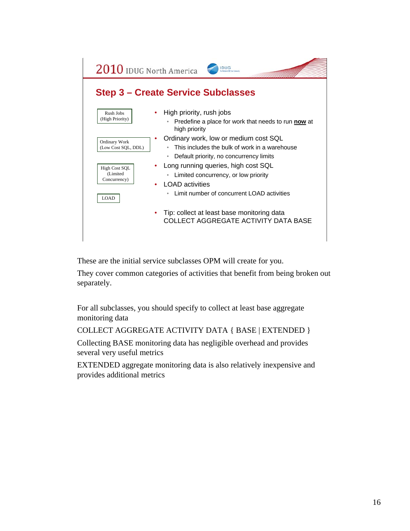2010 IDUG North America IDUG

#### **Step 3 – Create Service Subclasses**

| Rush Jobs<br>(High Priority)                          | ۰ | High priority, rush jobs<br>Predefine a place for work that needs to run now at<br>$\bullet$<br>high priority                                                                      |
|-------------------------------------------------------|---|------------------------------------------------------------------------------------------------------------------------------------------------------------------------------------|
| Ordinary Work<br>(Low Cost SQL, DDL)<br>High Cost SOL |   | Ordinary work, low or medium cost SQL<br>This includes the bulk of work in a warehouse<br>٠<br>Default priority, no concurrency limits<br>۰<br>Long running queries, high cost SQL |
| (Limited<br>Concurrency)<br><b>LOAD</b>               | ٠ | Limited concurrency, or low priority<br>$\bullet$<br><b>LOAD</b> activities<br>Limit number of concurrent LOAD activities<br>۰                                                     |
|                                                       |   | Tip: collect at least base monitoring data<br>COLLECT AGGREGATE ACTIVITY DATA BASE                                                                                                 |

These are the initial service subclasses OPM will create for you.

They cover common categories of activities that benefit from being broken out separately.

For all subclasses, you should specify to collect at least base aggregate monitoring data

COLLECT AGGREGATE ACTIVITY DATA { BASE | EXTENDED }

Collecting BASE monitoring data has negligible overhead and provides several very useful metrics

EXTENDED aggregate monitoring data is also relatively inexpensive and provides additional metrics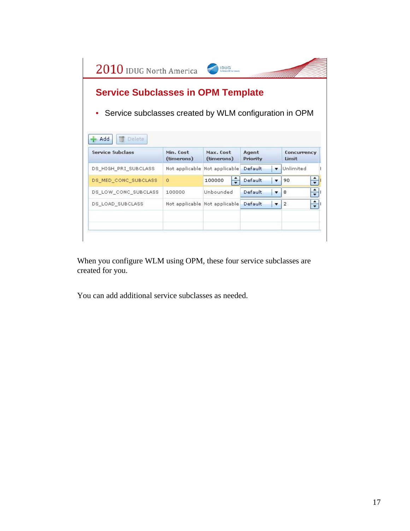

When you configure WLM using OPM, these four service subclasses are created for you.

You can add additional service subclasses as needed.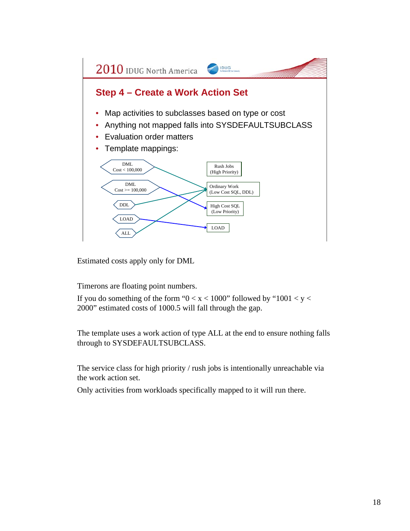

Estimated costs apply only for DML

Timerons are floating point numbers.

If you do something of the form " $0 < x < 1000$ " followed by "1001  $< y <$ 2000" estimated costs of 1000.5 will fall through the gap.

The template uses a work action of type ALL at the end to ensure nothing falls through to SYSDEFAULTSUBCLASS.

The service class for high priority / rush jobs is intentionally unreachable via the work action set.

Only activities from workloads specifically mapped to it will run there.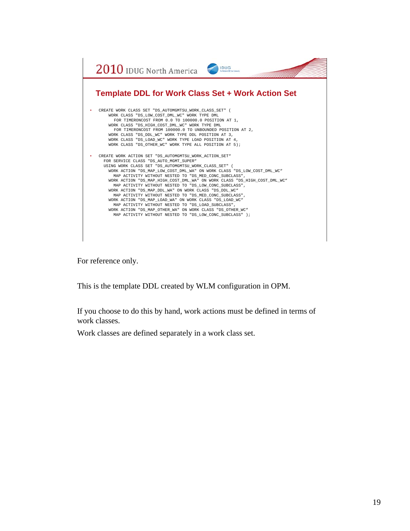

For reference only.

This is the template DDL created by WLM configuration in OPM.

If you choose to do this by hand, work actions must be defined in terms of work classes.

Work classes are defined separately in a work class set.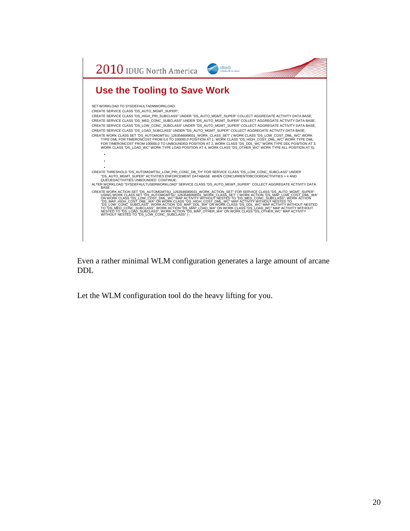

Even a rather minimal WLM configuration generates a large amount of arcane DDL

Let the WLM configuration tool do the heavy lifting for you.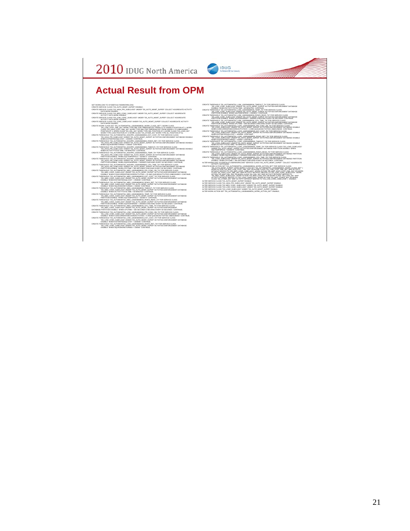

#### **Actual Result from OPM**

BET WORKLOUT DISTRIBUTION CONTINUES IN A MODEL IS AN OUTLIER TO CULTURAL ESTATE AND CONTINUES IN A CONTINUES IN A CONTINUES IN A CONTINUES IN A CONTINUES IN A CONTINUES IN A CONTINUES IN A CONTINUES IN A CONTINUES IN A CON

- 
- 
- 
- 
- TO HAN PRI SURCASSY UNDER TO A MITO MONT. SUR PROTECTIVE DISPOSITION TO A MORE SURGEST.<br>THE SAME PRODUCED AND THE SAME CONTINUES ON THE SAME PROTECTIVE CONTINUES.<br>THE SAME PRODUCED WAS CONTINUES ON THE SAME FOR STATISTIC C
- CREATE THRESHOLD "DS\_AUTOMGMTSU\_HIGHPRI\_1263546069032\_CPU\_TIME\_TH" FOR SERVICE CLASS "DS\_HIGH\_PRI\_SUBCLASS" UNDER "DS\_AUTO\_MGMT\_SUPER" ACTIVITIES ENFORCEMENT DATABASE
- 
- 
- **PARTITION DUBBLE WHEN PICTURES AND ECONOMIC DECISION CONSULTING.**<br>THE REPORT OF THE REPORT OF THE REPORT OF THE REPORT OF THE REPORT OF THE REPORT OF THE REPORT OF THE REPORT OF THE REPORT OF THE REPORT OF THE REPORT OF
- 
- 
- CRATE WAS CHAIR WAS CONSIDERED TO A CHAIR WAS CITED AND COMPANY AND CLOSE THREE WAS CHAIR WAS CHAIRED AND COMP<br>THE CHAIR WAS CHAIRED TO A CHAIR WAS CONSIDERED TO A CHAIR CHAIR CHAIR CHAIR SEARCH AND COMPANY.<br>THE CHAIR WAS
- 
- CREATE THRESHOLD OR, AUTOMATED JARC 1950-1950-0000 (UPLA) IME, THE POISIT RESERVED DATA AND A CARRIER CARRIER<br>DATABASE PARTITON DISAILE WHEN CHUTINE 3:00 BECOMD OR DORT IN SECOND CONTINUE.<br>CREATE THRESHOLD OR, AUTOMATED JO
- 
- CREATE THRESHOLD "DS\_AUTOMGMTSU\_LOW\_1263546069034\_ROWS\_RET\_TH" FOR SERVICE CLASS<br>"DS\_LOW\_CONC\_SUBCLASS" UNDER "DS\_AUTO\_MGMT\_SUPER" ACTIVITIES ENFORCEMENT DATABASE<br>DISABLE WHEN SQLROWSRETURNED > 100000 CONTINUE;

CREATE THRESHOLD "DS\_AUTOMGMTSU\_LOW\_1263546069034\_TIMEOUT\_TH" FOR SERVICE CLASS<br>"DS\_LOW\_CONC\_SUBCLASS" ÜNDER "DS\_AUTO\_MGMT\_SUPER" ACTIVITIES ENFORCEMENT DATABASE<br>DISABLE WHEN ACTIVITYTOTALTIME > 60 MINUTES CONTINUE; CREATE THRESHOLD TO AUTOMOBILLOW, JOURNAL TRANSPORT OF A SERVICE OLDSE THRESHOLD TO AUTOMOBILITY THRESHOLD TO A<br>HARD TO AUTOMOBILITY THRESHOLD TO A MONOMOBILITY THRESHOLD TO AUTOMOBILITY THRESHOLD TO AUTOMOBILITY THRESHOLD CRATE THESHIRLE AND THOMAINEUL LOW - THE THIT OR SERVED AND THE CASE THE THING WAS TO THE ARREST THAT A THREAD<br>THE CASE OF THE SALE WHEN THE SALE COMPANY FOR CONTROL THE SALE OF THE SALE THAT A SECOND STATE THAT A SERVED<br>T **CREATE THESHIRE CORP. THE CONTROLL CONTROLL CONTROLL CONTROLL CONTROLL CONTROLL CONTROLL CONTROLL CONTROLL CONT<br>
SINCE A CONTROLL CONTROLL CONTROLL CONTROLL CONTROLL CONTROLL CONTROLL CONTROLL CONTROLL CONTROLL CONTROLL C** 

- 
- AT THE WEIGHT (WEIGHT UNKNOWN WAS CONSIDERED FOR A BULGARY CHARGED TO A START COLLECT AGREEMENT COLLECT AND RELEASE THE START COLLECT AND RELEASE THE START COLLECT AND INTERNATIONAL COLLECT AND INTERNATIONAL COLLECT AND I
- 
-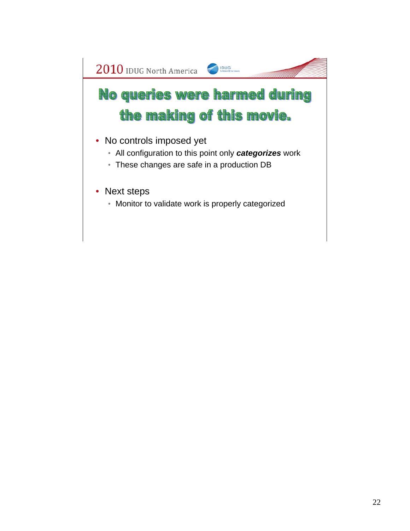# No queries were harmed during the making of this movie.

- No controls imposed yet
	- All configuration to this point only *categorizes* work
	- These changes are safe in a production DB
- Next steps
	- Monitor to validate work is properly categorized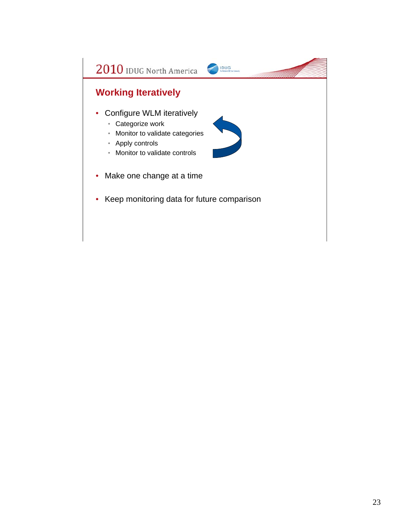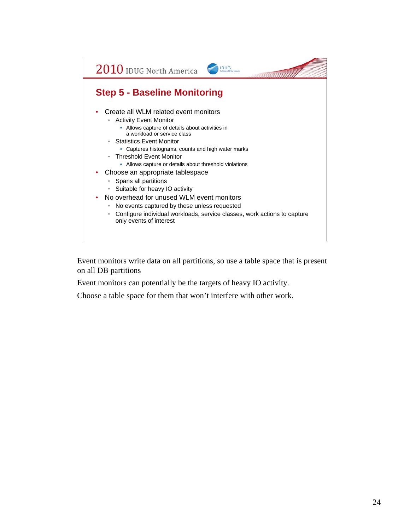#### **Step 5 - Baseline Monitoring**

- Create all WLM related event monitors
	- Activity Event Monitor
		- Allows capture of details about activities in a workload or service class
	- Statistics Event Monitor
		- Captures histograms, counts and high water marks
	- Threshold Event Monitor
		- Allows capture or details about threshold violations
- Choose an appropriate tablespace
	- Spans all partitions
	- Suitable for heavy IO activity
- No overhead for unused WLM event monitors
	- No events captured by these unless requested
	- Configure individual workloads, service classes, work actions to capture only events of interest

IDUG

Event monitors write data on all partitions, so use a table space that is present on all DB partitions

Event monitors can potentially be the targets of heavy IO activity.

Choose a table space for them that won't interfere with other work.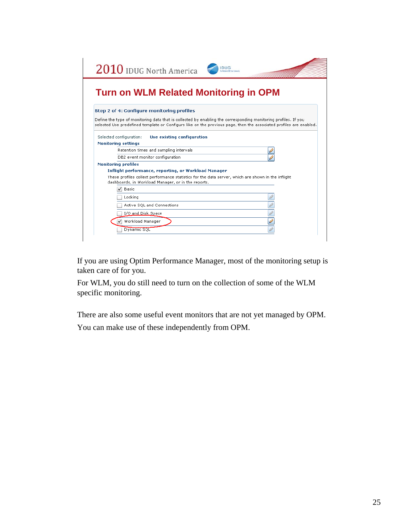| $2010$ IDUG North America<br><b>IDUG</b>                                                                                                                                                                                             |
|--------------------------------------------------------------------------------------------------------------------------------------------------------------------------------------------------------------------------------------|
| <b>Turn on WLM Related Monitoring in OPM</b>                                                                                                                                                                                         |
| Step 2 of 4: Configure monitoring profiles                                                                                                                                                                                           |
| Define the type of monitoring data that is collected by enabling the corresponding monitoring profiles. If you<br>selected Use predefined template or Configure like on the previous page, then the associated profiles are enabled. |
| Selected configuration:<br>Use existing configuration<br><b>Monitoring settings</b>                                                                                                                                                  |
| Retention times and sampling intervals                                                                                                                                                                                               |
| DB2 event monitor configuration                                                                                                                                                                                                      |
| <b>Monitoring profiles</b>                                                                                                                                                                                                           |
| Inflight performance, reporting, or Workload Manager                                                                                                                                                                                 |
| These profiles collect performance statistics for the data server, which are shown in the inflight<br>dashboards, in Workload Manager, or in the reports.                                                                            |
| Basic<br>✓                                                                                                                                                                                                                           |
| Locking                                                                                                                                                                                                                              |
| Active SQL and Connections                                                                                                                                                                                                           |
| I/O and Disk Space                                                                                                                                                                                                                   |
| Workload Manager                                                                                                                                                                                                                     |
|                                                                                                                                                                                                                                      |

If you are using Optim Performance Manager, most of the monitoring setup is taken care of for you.

For WLM, you do still need to turn on the collection of some of the WLM specific monitoring.

There are also some useful event monitors that are not yet managed by OPM.

You can make use of these independently from OPM.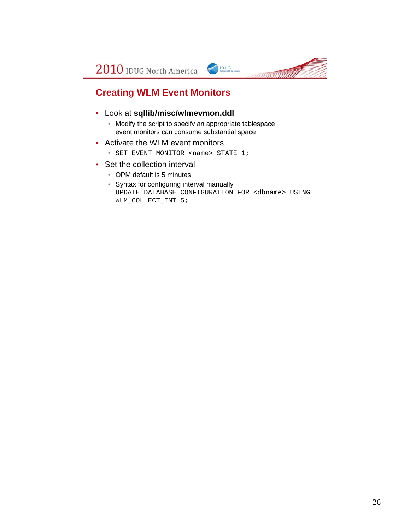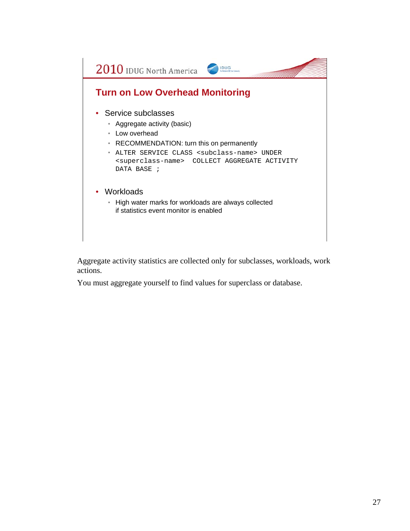

Aggregate activity statistics are collected only for subclasses, workloads, work actions.

You must aggregate yourself to find values for superclass or database.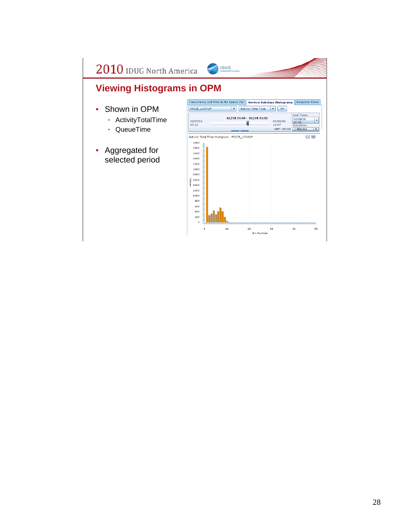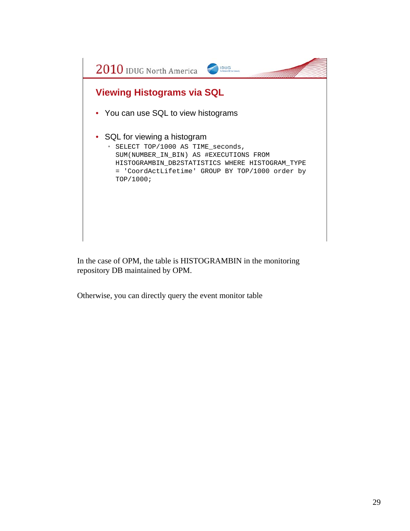

In the case of OPM, the table is HISTOGRAMBIN in the monitoring repository DB maintained by OPM.

Otherwise, you can directly query the event monitor table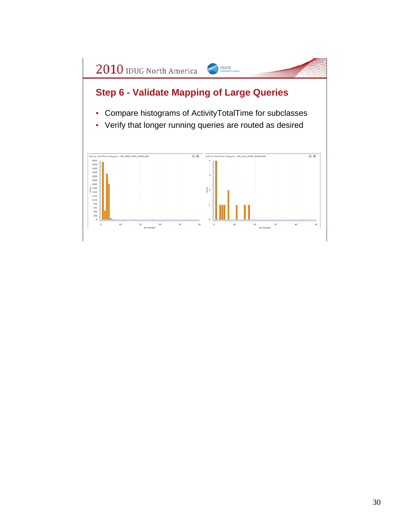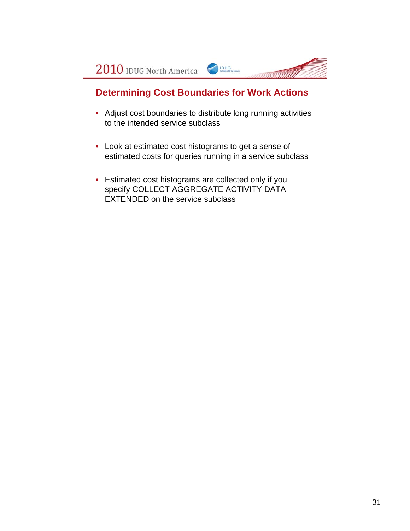## **Determining Cost Boundaries for Work Actions**

IDUG

- Adjust cost boundaries to distribute long running activities to the intended service subclass
- Look at estimated cost histograms to get a sense of estimated costs for queries running in a service subclass
- Estimated cost histograms are collected only if you specify COLLECT AGGREGATE ACTIVITY DATA EXTENDED on the service subclass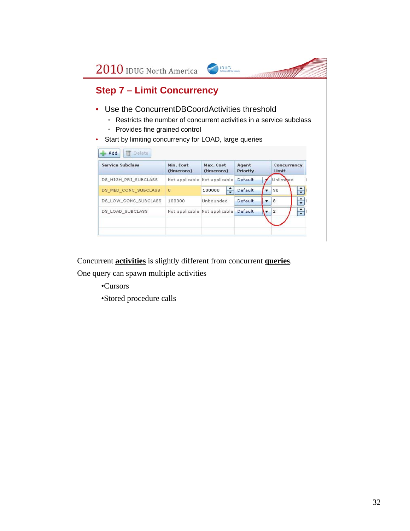2010 IDUG North America IDUG **Step 7 – Limit Concurrency** • Use the ConcurrentDBCoordActivities threshold • Restricts the number of concurrent activities in a service subclass • Provides fine grained control • Start by limiting concurrency for LOAD, large queries  $#Add$ Delete Concurrency Service Subclass Min. Cost Max. Cost Agent Priority (timerons) (timerons) Limit Unlimited Not applicable Not applicable Default DS\_HIGH\_PRI\_SUBCLASS  $\Rightarrow$ DS\_MED\_CONC\_SUBCLASS  $\overline{\mathbf{0}}$ 100000 ÷ Default 90  $\overline{\phantom{a}}$  $\div$ DS\_LOW\_CONC\_SUBCLASS 100000 Unbounded Default  $\overline{\phantom{a}}$  $^{\rm 8}$ F DS\_LOAD\_SUBCLASS Not applicable Not applicable Default  $\mathbf{2}% ^{2}/\mathbf{2}$ v.

Concurrent **activities** is slightly different from concurrent **queries**.

One query can spawn multiple activities

•Cursors

•Stored procedure calls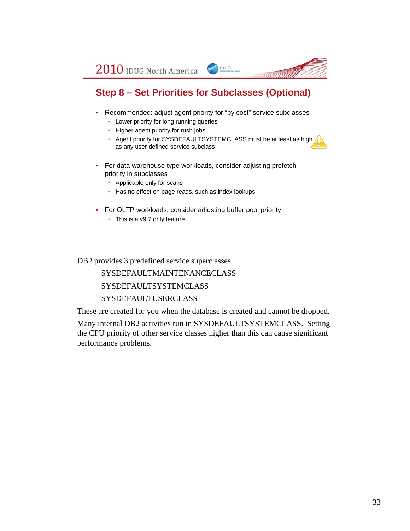

DB2 provides 3 predefined service superclasses.

SYSDEFAULTMAINTENANCECLASS

SYSDEFAULTSYSTEMCLASS

#### SYSDEFAULTUSERCLASS

These are created for you when the database is created and cannot be dropped.

Many internal DB2 activities run in SYSDEFAULTSYSTEMCLASS. Setting the CPU priority of other service classes higher than this can cause significant performance problems.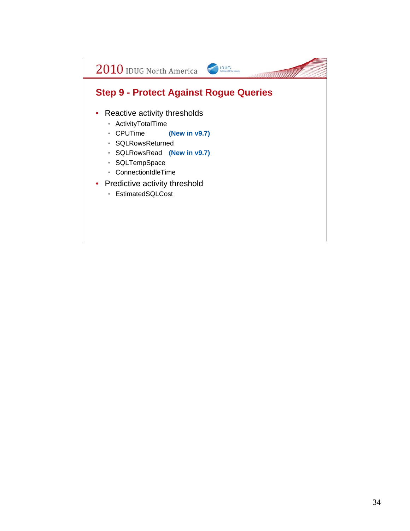#### **Step 9 - Protect Against Rogue Queries**

IDUG

- Reactive activity thresholds
	- ActivityTotalTime
	- CPUTime **(New in v9.7)**
	- SQLRowsReturned
	- SQLRowsRead **(New in v9.7)**
	- SQLTempSpace
	- ConnectionIdleTime
- Predictive activity threshold
	- EstimatedSQLCost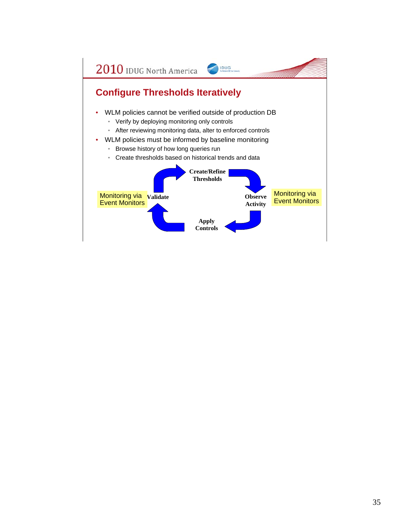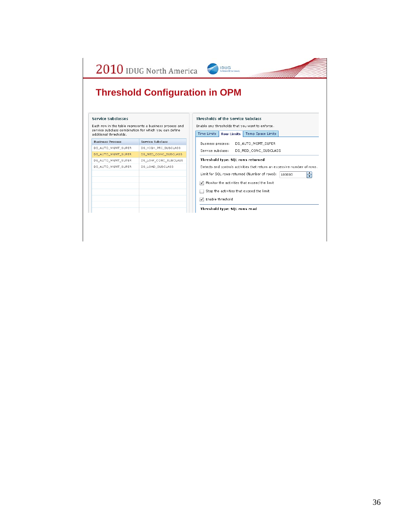|                           |                                                         | <b>Threshold Configuration in OPM</b>                                    |
|---------------------------|---------------------------------------------------------|--------------------------------------------------------------------------|
|                           |                                                         |                                                                          |
|                           |                                                         |                                                                          |
| <b>Service Subclasses</b> |                                                         | <b>Thresholds of the Service Subclass</b>                                |
|                           | Each row in the table represents a business process and | Enable any thresholds that you want to enforce.                          |
| additional thresholds.    | service subclass combination for which you can define   | Time Limits<br>Row Limits   Temp Space Limits                            |
| <b>Business Process</b>   | Service Subclass                                        | Business process:<br>DS AUTO MGMT SUPER                                  |
| DS AUTO MGMT SUPER        | DS HIGH PRI SUBCLASS                                    | Service subclass:<br>DS MED CONC SUBCLASS                                |
| DS_AUTO_MGMT_SUPER        | DS_MED_CONC_SUBCLASS                                    |                                                                          |
| DS AUTO MGMT SUPER        | DS LOW CONC SUBCLASS                                    | Threshold type: SQL rows returned                                        |
| DS AUTO MGMT SUPER        | DS LOAD SUBCLASS                                        | Detects and controls activities that return an excessive number of rows. |
|                           |                                                         | ÷<br>Limit for SQL rows returned (Number of rows):<br>100000             |
|                           |                                                         | Monitor the activities that exceed the limit                             |
|                           |                                                         |                                                                          |
|                           |                                                         | Stop the activities that exceed the limit                                |
|                           |                                                         | Enable threshold                                                         |
|                           |                                                         | Threshold type: SOL rows read                                            |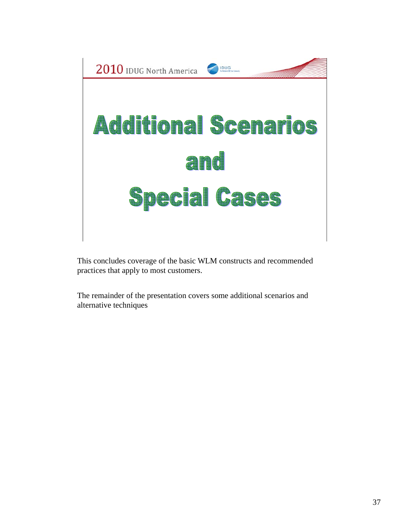

This concludes coverage of the basic WLM constructs and recommended practices that apply to most customers.

The remainder of the presentation covers some additional scenarios and alternative techniques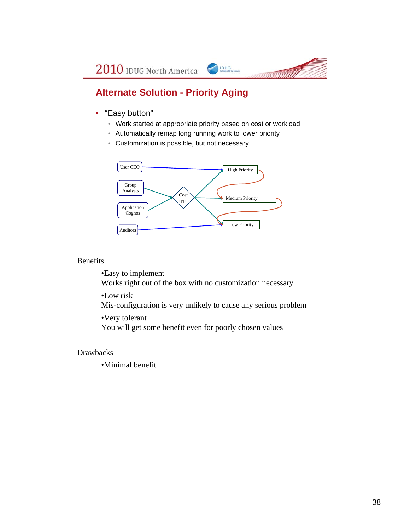

#### Benefits

•Easy to implement

Works right out of the box with no customization necessary

•Low risk

Mis-configuration is very unlikely to cause any serious problem

•Very tolerant

You will get some benefit even for poorly chosen values

#### Drawbacks

•Minimal benefit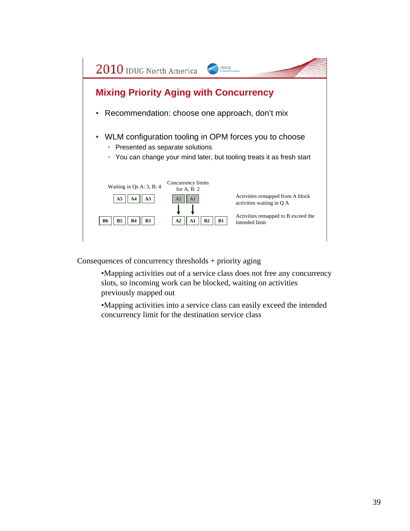

Consequences of concurrency thresholds + priority aging

•Mapping activities out of a service class does not free any concurrency slots, so incoming work can be blocked, waiting on activities previously mapped out

•Mapping activities into a service class can easily exceed the intended concurrency limit for the destination service class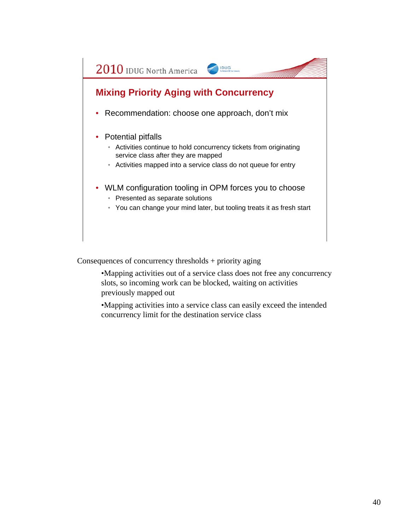## **Mixing Priority Aging with Concurrency**

- Recommendation: choose one approach, don't mix
- Potential pitfalls
	- Activities continue to hold concurrency tickets from originating service class after they are mapped

IDUG

- Activities mapped into a service class do not queue for entry
- WLM configuration tooling in OPM forces you to choose • Presented as separate solutions
	- You can change your mind later, but tooling treats it as fresh start

Consequences of concurrency thresholds + priority aging

•Mapping activities out of a service class does not free any concurrency slots, so incoming work can be blocked, waiting on activities previously mapped out

•Mapping activities into a service class can easily exceed the intended concurrency limit for the destination service class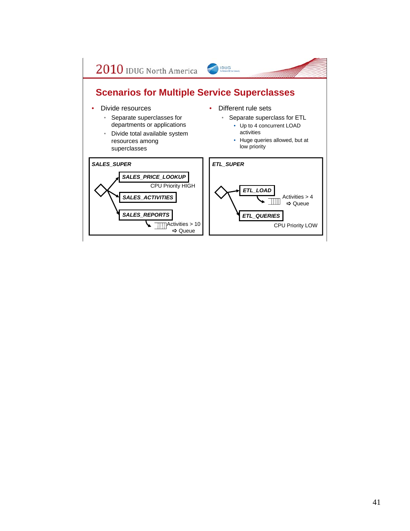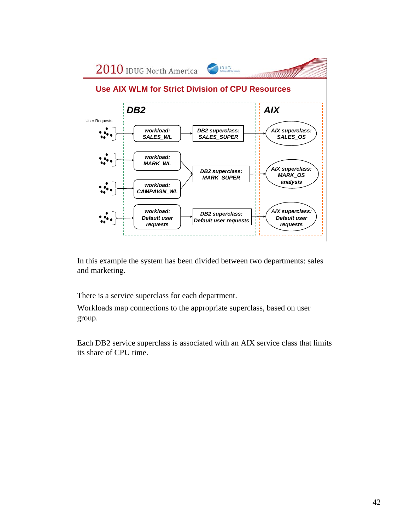

In this example the system has been divided between two departments: sales and marketing.

There is a service superclass for each department.

Workloads map connections to the appropriate superclass, based on user group.

Each DB2 service superclass is associated with an AIX service class that limits its share of CPU time.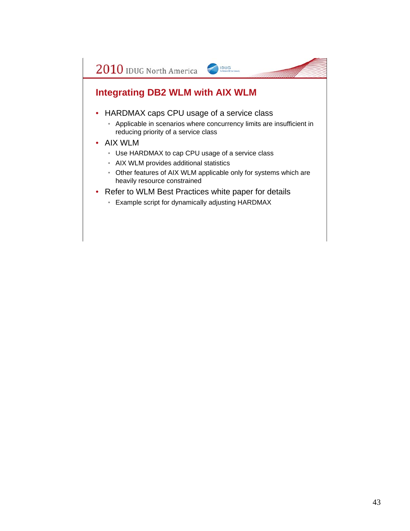### **Integrating DB2 WLM with AIX WLM**

- HARDMAX caps CPU usage of a service class
	- Applicable in scenarios where concurrency limits are insufficient in reducing priority of a service class

IDUG

- AIX WLM
	- Use HARDMAX to cap CPU usage of a service class
	- AIX WLM provides additional statistics
	- Other features of AIX WLM applicable only for systems which are heavily resource constrained
- Refer to WLM Best Practices white paper for details
	- Example script for dynamically adjusting HARDMAX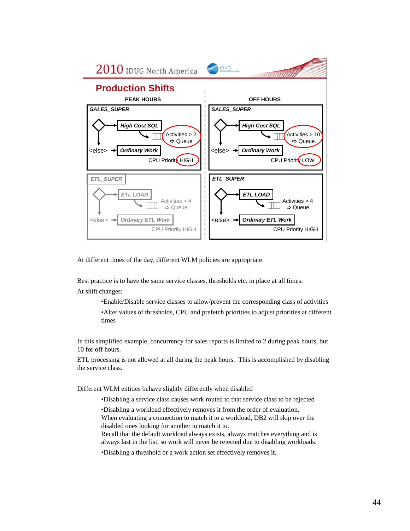

At different times of the day, different WLM policies are appropriate.

Best practice is to have the same service classes, thresholds etc. in place at all times.

At shift changes:

•Enable/Disable service classes to allow/prevent the corresponding class of activities •Alter values of thresholds, CPU and prefetch priorities to adjust priorities at different times

In this simplified example, concurrency for sales reports is limited to 2 during peak hours, but 10 for off hours.

ETL processing is not allowed at all during the peak hours. This is accomplished by disabling the service class.

Different WLM entities behave slightly differently when disabled

•Disabling a service class causes work routed to that service class to be rejected

•Disabling a workload effectively removes it from the order of evaluation. When evaluating a connection to match it to a workload, DB2 will skip over the

disabled ones looking for another to match it to.

Recall that the default workload always exists, always matches everything and is always last in the list, so work will never be rejected due to disabling workloads.

•Disabling a threshold or a work action set effectively removes it.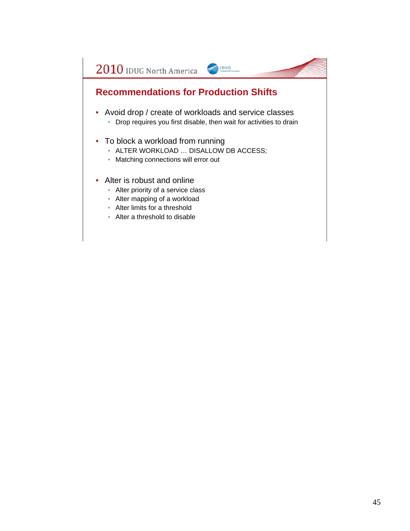#### **Recommendations for Production Shifts**

- Avoid drop / create of workloads and service classes
	- Drop requires you first disable, then wait for activities to drain

IDUG

- To block a workload from running
	- ALTER WORKLOAD … DISALLOW DB ACCESS;
	- Matching connections will error out
- Alter is robust and online
	- Alter priority of a service class
	- Alter mapping of a workload
	- Alter limits for a threshold
	- Alter a threshold to disable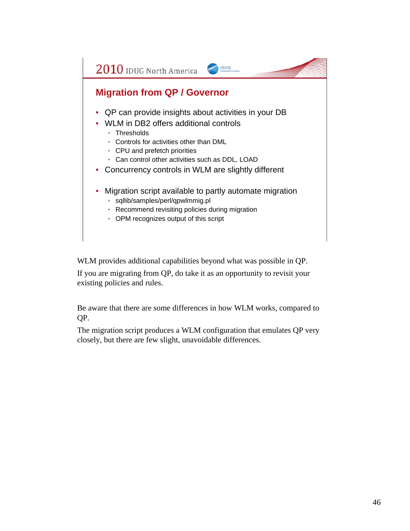#### **Migration from QP / Governor**

• QP can provide insights about activities in your DB

IDUG

- WLM in DB2 offers additional controls
	- Thresholds
	- Controls for activities other than DML
	- CPU and prefetch priorities
	- Can control other activities such as DDL, LOAD
- Concurrency controls in WLM are slightly different
- Migration script available to partly automate migration
	- sqllib/samples/perl/qpwlmmig.pl
	- Recommend revisiting policies during migration
	- OPM recognizes output of this script

WLM provides additional capabilities beyond what was possible in QP.

If you are migrating from QP, do take it as an opportunity to revisit your existing policies and rules.

Be aware that there are some differences in how WLM works, compared to QP.

The migration script produces a WLM configuration that emulates QP very closely, but there are few slight, unavoidable differences.